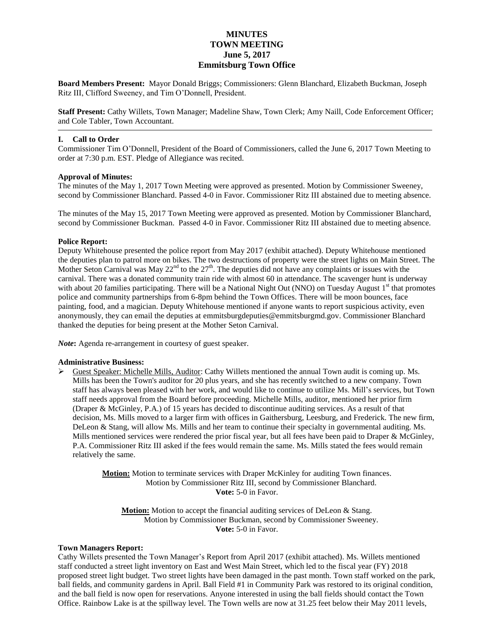# **MINUTES TOWN MEETING June 5, 2017 Emmitsburg Town Office**

**Board Members Present:** Mayor Donald Briggs; Commissioners: Glenn Blanchard, Elizabeth Buckman, Joseph Ritz III, Clifford Sweeney, and Tim O'Donnell, President.

**Staff Present:** Cathy Willets, Town Manager; Madeline Shaw, Town Clerk; Amy Naill, Code Enforcement Officer; and Cole Tabler, Town Accountant.

### **I. Call to Order**

Commissioner Tim O'Donnell, President of the Board of Commissioners, called the June 6, 2017 Town Meeting to order at 7:30 p.m. EST. Pledge of Allegiance was recited.

#### **Approval of Minutes:**

The minutes of the May 1, 2017 Town Meeting were approved as presented. Motion by Commissioner Sweeney, second by Commissioner Blanchard. Passed 4-0 in Favor. Commissioner Ritz III abstained due to meeting absence.

The minutes of the May 15, 2017 Town Meeting were approved as presented. Motion by Commissioner Blanchard, second by Commissioner Buckman. Passed 4-0 in Favor. Commissioner Ritz III abstained due to meeting absence.

#### **Police Report:**

Deputy Whitehouse presented the police report from May 2017 (exhibit attached). Deputy Whitehouse mentioned the deputies plan to patrol more on bikes. The two destructions of property were the street lights on Main Street. The Mother Seton Carnival was May  $22^{nd}$  to the  $27<sup>th</sup>$ . The deputies did not have any complaints or issues with the carnival. There was a donated community train ride with almost 60 in attendance. The scavenger hunt is underway with about 20 families participating. There will be a National Night Out (NNO) on Tuesday August 1<sup>st</sup> that promotes police and community partnerships from 6-8pm behind the Town Offices. There will be moon bounces, face painting, food, and a magician. Deputy Whitehouse mentioned if anyone wants to report suspicious activity, even anonymously, they can email the deputies at emmitsburgdeputies@emmitsburgmd.gov. Commissioner Blanchard thanked the deputies for being present at the Mother Seton Carnival.

*Note*: Agenda re-arrangement in courtesy of guest speaker.

#### **Administrative Business:**

 Guest Speaker: Michelle Mills, Auditor: Cathy Willets mentioned the annual Town audit is coming up. Ms. Mills has been the Town's auditor for 20 plus years, and she has recently switched to a new company. Town staff has always been pleased with her work, and would like to continue to utilize Ms. Mill's services, but Town staff needs approval from the Board before proceeding. Michelle Mills, auditor, mentioned her prior firm (Draper & McGinley, P.A.) of 15 years has decided to discontinue auditing services. As a result of that decision, Ms. Mills moved to a larger firm with offices in Gaithersburg, Leesburg, and Frederick. The new firm, DeLeon & Stang, will allow Ms. Mills and her team to continue their specialty in governmental auditing. Ms. Mills mentioned services were rendered the prior fiscal year, but all fees have been paid to Draper & McGinley, P.A. Commissioner Ritz III asked if the fees would remain the same. Ms. Mills stated the fees would remain relatively the same.

> **Motion:** Motion to terminate services with Draper McKinley for auditing Town finances. Motion by Commissioner Ritz III, second by Commissioner Blanchard. **Vote:** 5-0 in Favor.

**Motion:** Motion to accept the financial auditing services of DeLeon & Stang. Motion by Commissioner Buckman, second by Commissioner Sweeney. **Vote:** 5-0 in Favor.

#### **Town Managers Report:**

Cathy Willets presented the Town Manager's Report from April 2017 (exhibit attached). Ms. Willets mentioned staff conducted a street light inventory on East and West Main Street, which led to the fiscal year (FY) 2018 proposed street light budget. Two street lights have been damaged in the past month. Town staff worked on the park, ball fields, and community gardens in April. Ball Field #1 in Community Park was restored to its original condition, and the ball field is now open for reservations. Anyone interested in using the ball fields should contact the Town Office. Rainbow Lake is at the spillway level. The Town wells are now at 31.25 feet below their May 2011 levels,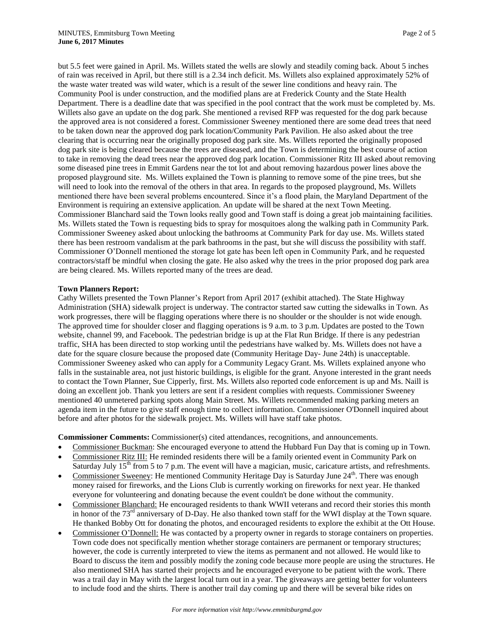but 5.5 feet were gained in April. Ms. Willets stated the wells are slowly and steadily coming back. About 5 inches of rain was received in April, but there still is a 2.34 inch deficit. Ms. Willets also explained approximately 52% of the waste water treated was wild water, which is a result of the sewer line conditions and heavy rain. The Community Pool is under construction, and the modified plans are at Frederick County and the State Health Department. There is a deadline date that was specified in the pool contract that the work must be completed by. Ms. Willets also gave an update on the dog park. She mentioned a revised RFP was requested for the dog park because the approved area is not considered a forest. Commissioner Sweeney mentioned there are some dead trees that need to be taken down near the approved dog park location/Community Park Pavilion. He also asked about the tree clearing that is occurring near the originally proposed dog park site. Ms. Willets reported the originally proposed dog park site is being cleared because the trees are diseased, and the Town is determining the best course of action to take in removing the dead trees near the approved dog park location. Commissioner Ritz III asked about removing some diseased pine trees in Emmit Gardens near the tot lot and about removing hazardous power lines above the proposed playground site. Ms. Willets explained the Town is planning to remove some of the pine trees, but she will need to look into the removal of the others in that area. In regards to the proposed playground, Ms. Willets mentioned there have been several problems encountered. Since it's a flood plain, the Maryland Department of the Environment is requiring an extensive application. An update will be shared at the next Town Meeting. Commissioner Blanchard said the Town looks really good and Town staff is doing a great job maintaining facilities. Ms. Willets stated the Town is requesting bids to spray for mosquitoes along the walking path in Community Park. Commissioner Sweeney asked about unlocking the bathrooms at Community Park for day use. Ms. Willets stated there has been restroom vandalism at the park bathrooms in the past, but she will discuss the possibility with staff. Commissioner O'Donnell mentioned the storage lot gate has been left open in Community Park, and he requested contractors/staff be mindful when closing the gate. He also asked why the trees in the prior proposed dog park area are being cleared. Ms. Willets reported many of the trees are dead.

### **Town Planners Report:**

Cathy Willets presented the Town Planner's Report from April 2017 (exhibit attached). The State Highway Administration (SHA) sidewalk project is underway. The contractor started saw cutting the sidewalks in Town. As work progresses, there will be flagging operations where there is no shoulder or the shoulder is not wide enough. The approved time for shoulder closer and flagging operations is 9 a.m. to 3 p.m. Updates are posted to the Town website, channel 99, and Facebook. The pedestrian bridge is up at the Flat Run Bridge. If there is any pedestrian traffic, SHA has been directed to stop working until the pedestrians have walked by. Ms. Willets does not have a date for the square closure because the proposed date (Community Heritage Day- June 24th) is unacceptable. Commissioner Sweeney asked who can apply for a Community Legacy Grant. Ms. Willets explained anyone who falls in the sustainable area, not just historic buildings, is eligible for the grant. Anyone interested in the grant needs to contact the Town Planner, Sue Cipperly, first. Ms. Willets also reported code enforcement is up and Ms. Naill is doing an excellent job. Thank you letters are sent if a resident complies with requests. Commissioner Sweeney mentioned 40 unmetered parking spots along Main Street. Ms. Willets recommended making parking meters an agenda item in the future to give staff enough time to collect information. Commissioner O'Donnell inquired about before and after photos for the sidewalk project. Ms. Willets will have staff take photos.

**Commissioner Comments:** Commissioner(s) cited attendances, recognitions, and announcements.

- Commissioner Buckman: She encouraged everyone to attend the Hubbard Fun Day that is coming up in Town. Commissioner Ritz III: He reminded residents there will be a family oriented event in Community Park on
- Saturday July  $15<sup>th</sup>$  from 5 to 7 p.m. The event will have a magician, music, caricature artists, and refreshments.
- Commissioner Sweeney: He mentioned Community Heritage Day is Saturday June 24<sup>th</sup>. There was enough money raised for fireworks, and the Lions Club is currently working on fireworks for next year. He thanked everyone for volunteering and donating because the event couldn't be done without the community.
- Commissioner Blanchard: He encouraged residents to thank WWII veterans and record their stories this month in honor of the  $73<sup>rd</sup>$  anniversary of D-Day. He also thanked town staff for the WWI display at the Town square. He thanked Bobby Ott for donating the photos, and encouraged residents to explore the exhibit at the Ott House.
- Commissioner O'Donnell: He was contacted by a property owner in regards to storage containers on properties. Town code does not specifically mention whether storage containers are permanent or temporary structures; however, the code is currently interpreted to view the items as permanent and not allowed. He would like to Board to discuss the item and possibly modify the zoning code because more people are using the structures. He also mentioned SHA has started their projects and he encouraged everyone to be patient with the work. There was a trail day in May with the largest local turn out in a year. The giveaways are getting better for volunteers to include food and the shirts. There is another trail day coming up and there will be several bike rides on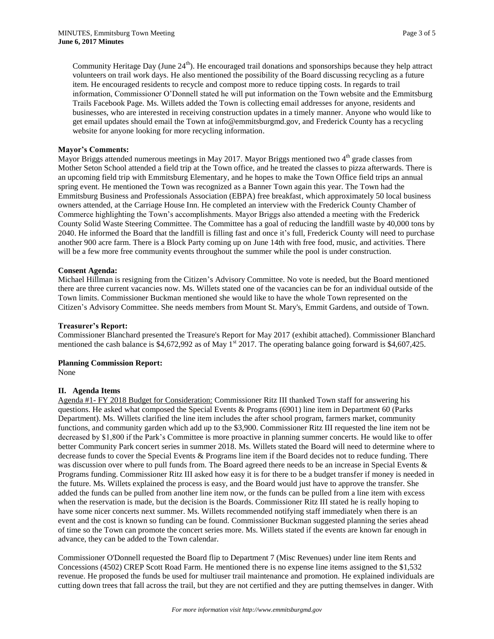Community Heritage Day (June  $24<sup>th</sup>$ ). He encouraged trail donations and sponsorships because they help attract volunteers on trail work days. He also mentioned the possibility of the Board discussing recycling as a future item. He encouraged residents to recycle and compost more to reduce tipping costs. In regards to trail information, Commissioner O'Donnell stated he will put information on the Town website and the Emmitsburg Trails Facebook Page. Ms. Willets added the Town is collecting email addresses for anyone, residents and businesses, who are interested in receiving construction updates in a timely manner. Anyone who would like to get email updates should email the Town at info@emmitsburgmd.gov, and Frederick County has a recycling website for anyone looking for more recycling information.

### **Mayor's Comments:**

Mayor Briggs attended numerous meetings in May 2017. Mayor Briggs mentioned two 4<sup>th</sup> grade classes from Mother Seton School attended a field trip at the Town office, and he treated the classes to pizza afterwards. There is an upcoming field trip with Emmitsburg Elementary, and he hopes to make the Town Office field trips an annual spring event. He mentioned the Town was recognized as a Banner Town again this year. The Town had the Emmitsburg Business and Professionals Association (EBPA) free breakfast, which approximately 50 local business owners attended, at the Carriage House Inn. He completed an interview with the Frederick County Chamber of Commerce highlighting the Town's accomplishments. Mayor Briggs also attended a meeting with the Frederick County Solid Waste Steering Committee. The Committee has a goal of reducing the landfill waste by 40,000 tons by 2040. He informed the Board that the landfill is filling fast and once it's full, Frederick County will need to purchase another 900 acre farm. There is a Block Party coming up on June 14th with free food, music, and activities. There will be a few more free community events throughout the summer while the pool is under construction.

### **Consent Agenda:**

Michael Hillman is resigning from the Citizen's Advisory Committee. No vote is needed, but the Board mentioned there are three current vacancies now. Ms. Willets stated one of the vacancies can be for an individual outside of the Town limits. Commissioner Buckman mentioned she would like to have the whole Town represented on the Citizen's Advisory Committee. She needs members from Mount St. Mary's, Emmit Gardens, and outside of Town.

# **Treasurer's Report:**

Commissioner Blanchard presented the Treasure's Report for May 2017 (exhibit attached). Commissioner Blanchard mentioned the cash balance is  $$4,672,992$  as of May 1<sup>st</sup> 2017. The operating balance going forward is  $$4,607,425$ .

# **Planning Commission Report:**

None

# **II. Agenda Items**

Agenda #1- FY 2018 Budget for Consideration: Commissioner Ritz III thanked Town staff for answering his questions. He asked what composed the Special Events & Programs (6901) line item in Department 60 (Parks Department). Ms. Willets clarified the line item includes the after school program, farmers market, community functions, and community garden which add up to the \$3,900. Commissioner Ritz III requested the line item not be decreased by \$1,800 if the Park's Committee is more proactive in planning summer concerts. He would like to offer better Community Park concert series in summer 2018. Ms. Willets stated the Board will need to determine where to decrease funds to cover the Special Events & Programs line item if the Board decides not to reduce funding. There was discussion over where to pull funds from. The Board agreed there needs to be an increase in Special Events & Programs funding. Commissioner Ritz III asked how easy it is for there to be a budget transfer if money is needed in the future. Ms. Willets explained the process is easy, and the Board would just have to approve the transfer. She added the funds can be pulled from another line item now, or the funds can be pulled from a line item with excess when the reservation is made, but the decision is the Boards. Commissioner Ritz III stated he is really hoping to have some nicer concerts next summer. Ms. Willets recommended notifying staff immediately when there is an event and the cost is known so funding can be found. Commissioner Buckman suggested planning the series ahead of time so the Town can promote the concert series more. Ms. Willets stated if the events are known far enough in advance, they can be added to the Town calendar.

Commissioner O'Donnell requested the Board flip to Department 7 (Misc Revenues) under line item Rents and Concessions (4502) CREP Scott Road Farm. He mentioned there is no expense line items assigned to the \$1,532 revenue. He proposed the funds be used for multiuser trail maintenance and promotion. He explained individuals are cutting down trees that fall across the trail, but they are not certified and they are putting themselves in danger. With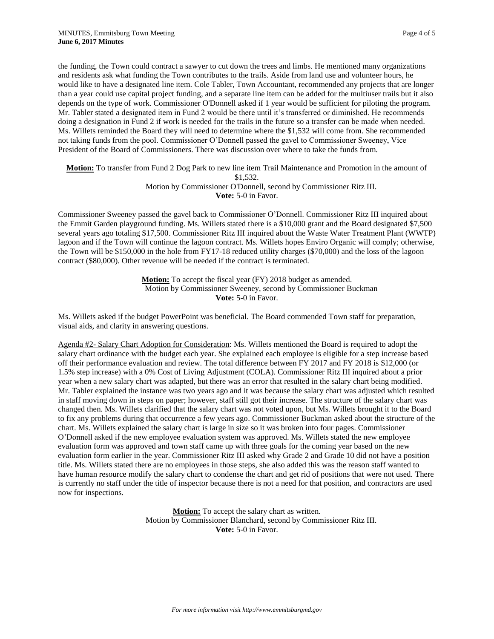the funding, the Town could contract a sawyer to cut down the trees and limbs. He mentioned many organizations and residents ask what funding the Town contributes to the trails. Aside from land use and volunteer hours, he would like to have a designated line item. Cole Tabler, Town Accountant, recommended any projects that are longer than a year could use capital project funding, and a separate line item can be added for the multiuser trails but it also depends on the type of work. Commissioner O'Donnell asked if 1 year would be sufficient for piloting the program. Mr. Tabler stated a designated item in Fund 2 would be there until it's transferred or diminished. He recommends doing a designation in Fund 2 if work is needed for the trails in the future so a transfer can be made when needed. Ms. Willets reminded the Board they will need to determine where the \$1,532 will come from. She recommended not taking funds from the pool. Commissioner O'Donnell passed the gavel to Commissioner Sweeney, Vice President of the Board of Commissioners. There was discussion over where to take the funds from.

**Motion:** To transfer from Fund 2 Dog Park to new line item Trail Maintenance and Promotion in the amount of \$1,532.

Motion by Commissioner O'Donnell, second by Commissioner Ritz III. **Vote:** 5-0 in Favor.

Commissioner Sweeney passed the gavel back to Commissioner O'Donnell. Commissioner Ritz III inquired about the Emmit Garden playground funding. Ms. Willets stated there is a \$10,000 grant and the Board designated \$7,500 several years ago totaling \$17,500. Commissioner Ritz III inquired about the Waste Water Treatment Plant (WWTP) lagoon and if the Town will continue the lagoon contract. Ms. Willets hopes Enviro Organic will comply; otherwise, the Town will be \$150,000 in the hole from FY17-18 reduced utility charges (\$70,000) and the loss of the lagoon contract (\$80,000). Other revenue will be needed if the contract is terminated.

> **Motion:** To accept the fiscal year (FY) 2018 budget as amended. Motion by Commissioner Sweeney, second by Commissioner Buckman **Vote:** 5-0 in Favor.

Ms. Willets asked if the budget PowerPoint was beneficial. The Board commended Town staff for preparation, visual aids, and clarity in answering questions.

Agenda #2- Salary Chart Adoption for Consideration: Ms. Willets mentioned the Board is required to adopt the salary chart ordinance with the budget each year. She explained each employee is eligible for a step increase based off their performance evaluation and review. The total difference between FY 2017 and FY 2018 is \$12,000 (or 1.5% step increase) with a 0% Cost of Living Adjustment (COLA). Commissioner Ritz III inquired about a prior year when a new salary chart was adapted, but there was an error that resulted in the salary chart being modified. Mr. Tabler explained the instance was two years ago and it was because the salary chart was adjusted which resulted in staff moving down in steps on paper; however, staff still got their increase. The structure of the salary chart was changed then. Ms. Willets clarified that the salary chart was not voted upon, but Ms. Willets brought it to the Board to fix any problems during that occurrence a few years ago. Commissioner Buckman asked about the structure of the chart. Ms. Willets explained the salary chart is large in size so it was broken into four pages. Commissioner O'Donnell asked if the new employee evaluation system was approved. Ms. Willets stated the new employee evaluation form was approved and town staff came up with three goals for the coming year based on the new evaluation form earlier in the year. Commissioner Ritz III asked why Grade 2 and Grade 10 did not have a position title. Ms. Willets stated there are no employees in those steps, she also added this was the reason staff wanted to have human resource modify the salary chart to condense the chart and get rid of positions that were not used. There is currently no staff under the title of inspector because there is not a need for that position, and contractors are used now for inspections.

> **Motion:** To accept the salary chart as written. Motion by Commissioner Blanchard, second by Commissioner Ritz III. **Vote:** 5-0 in Favor.